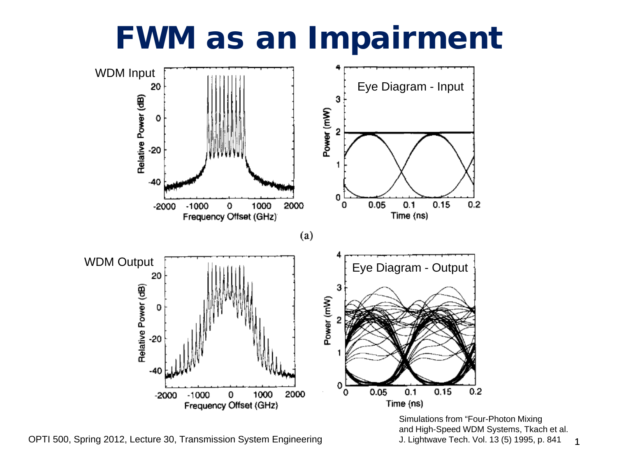### FWM as an Impairment



OPTI 500, Spring 2012, Lecture 30, Transmission System Engineering

1 Simulations from "Four-Photon Mixing and High-Speed WDM Systems, Tkach et al. J. Lightwave Tech. Vol. 13 (5) 1995, p. 841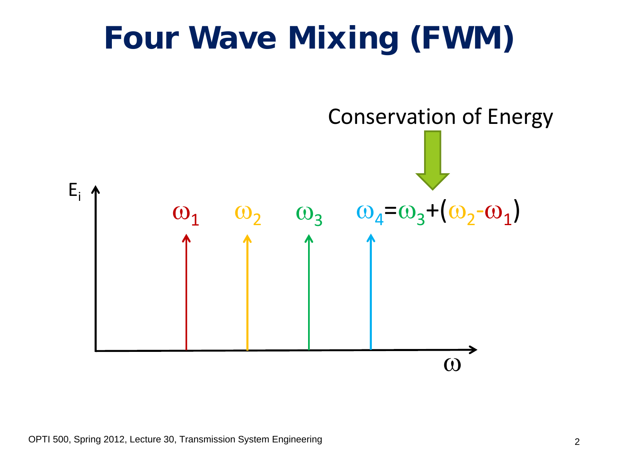# Four Wave Mixing (FWM)

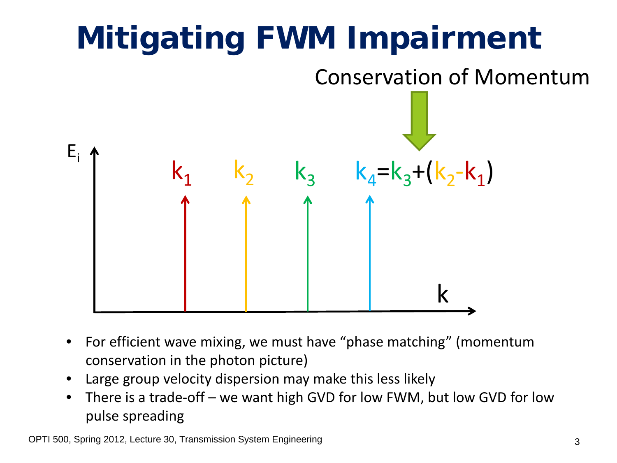

- For efficient wave mixing, we must have "phase matching" (momentum conservation in the photon picture)
- Large group velocity dispersion may make this less likely
- There is a trade-off we want high GVD for low FWM, but low GVD for low pulse spreading

OPTI 500, Spring 2012, Lecture 30, Transmission System Engineering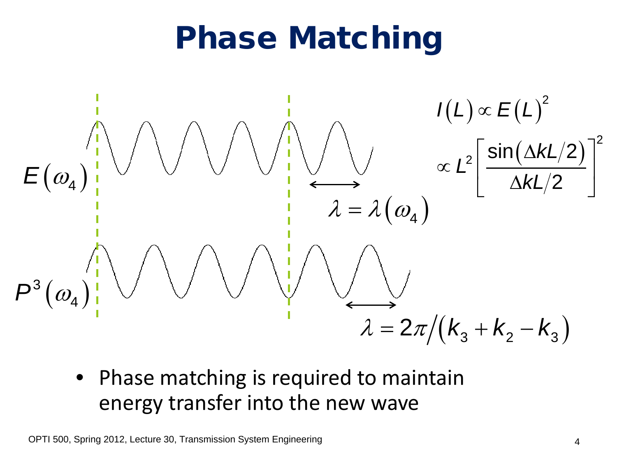# Phase Matching



• Phase matching is required to maintain energy transfer into the new wave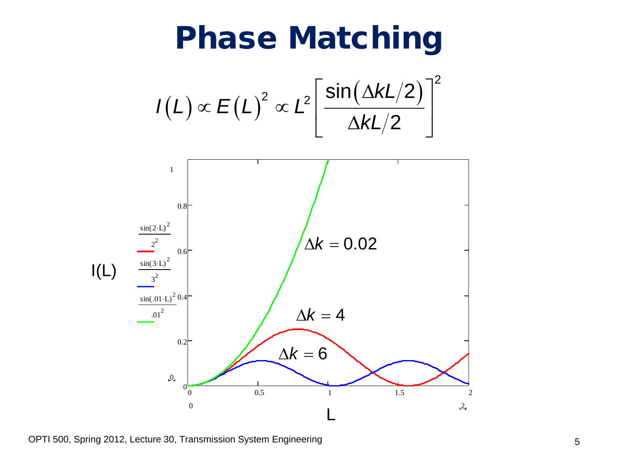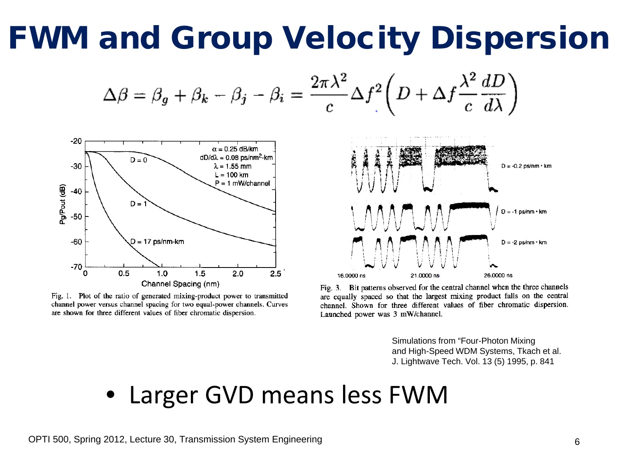# FWM and Group Velocity Dispersion

$$
\Delta \beta = \beta_g + \beta_k - \beta_j - \beta_i = \frac{2\pi\lambda^2}{c} \Delta f^2 \left( D + \Delta f \frac{\lambda^2}{c} \frac{dD}{d\lambda} \right)
$$



Fig. 1. Plot of the ratio of generated mixing-product power to transmitted channel power versus channel spacing for two equal-power channels. Curves are shown for three different values of fiber chromatic dispersion.



Fig. 3. Bit patterns observed for the central channel when the three channels are equally spaced so that the largest mixing product falls on the central channel. Shown for three different values of fiber chromatic dispersion. Launched power was 3 mW/channel.

Simulations from "Four-Photon Mixing and High-Speed WDM Systems, Tkach et al. J. Lightwave Tech. Vol. 13 (5) 1995, p. 841

#### • Larger GVD means less FWM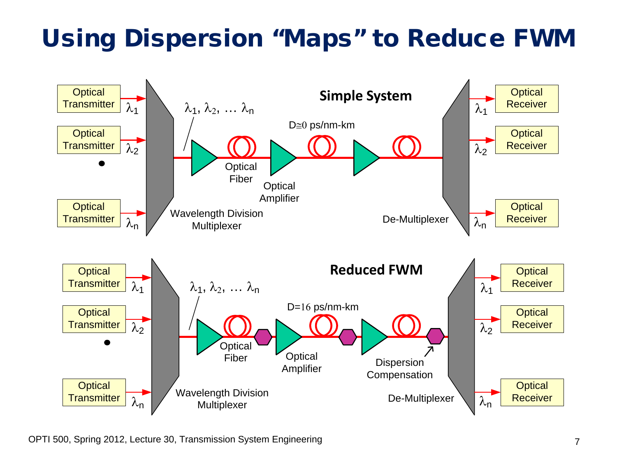#### Using Dispersion "Maps" to Reduce FWM

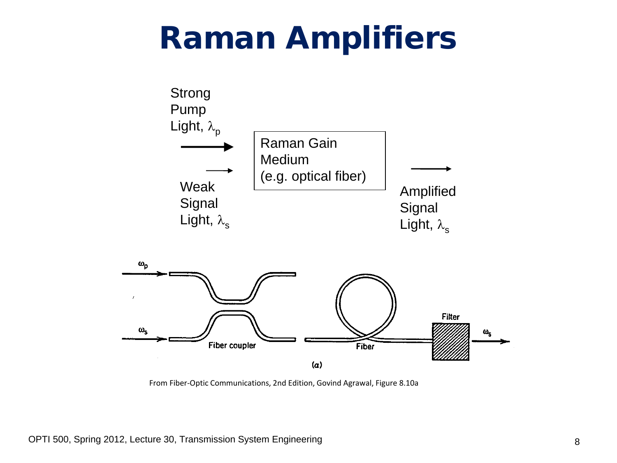### Raman Amplifiers



From Fiber-Optic Communications, 2nd Edition, Govind Agrawal, Figure 8.10a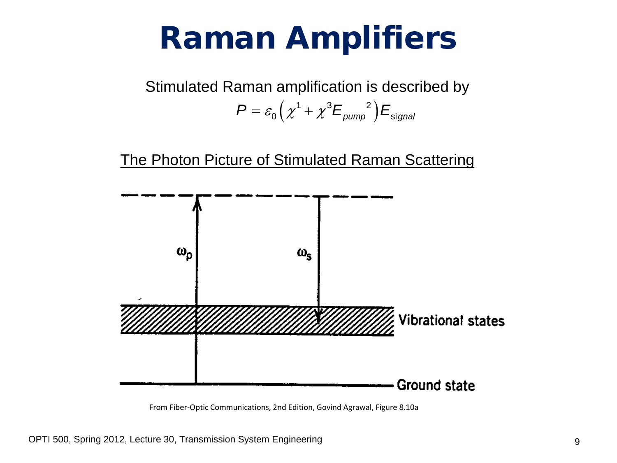## Raman Amplifiers

Stimulated Raman amplification is described by  $P = \varepsilon_0 \left( \chi^1 + \chi^3 E_{pump}^2 \right) E_{signal}$ 

The Photon Picture of Stimulated Raman Scattering



From Fiber-Optic Communications, 2nd Edition, Govind Agrawal, Figure 8.10a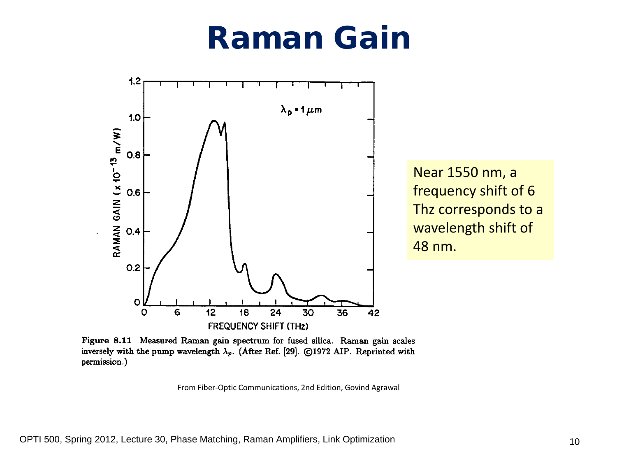### Raman Gain



Near 1550 nm, a frequency shift of 6 Thz corresponds to a wavelength shift of 48 nm.

Figure 8.11 Measured Raman gain spectrum for fused silica. Raman gain scales inversely with the pump wavelength  $\lambda_p$ . (After Ref. [29]. ©1972 AIP. Reprinted with permission.)

From Fiber-Optic Communications, 2nd Edition, Govind Agrawal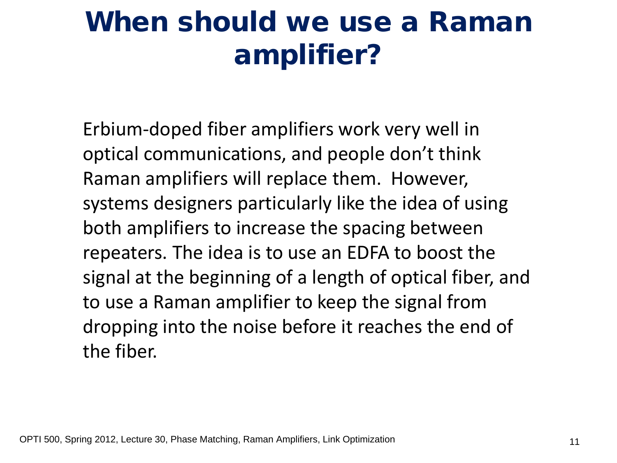### When should we use a Raman amplifier?

Erbium-doped fiber amplifiers work very well in optical communications, and people don't think Raman amplifiers will replace them. However, systems designers particularly like the idea of using both amplifiers to increase the spacing between repeaters. The idea is to use an EDFA to boost the signal at the beginning of a length of optical fiber, and to use a Raman amplifier to keep the signal from dropping into the noise before it reaches the end of the fiber.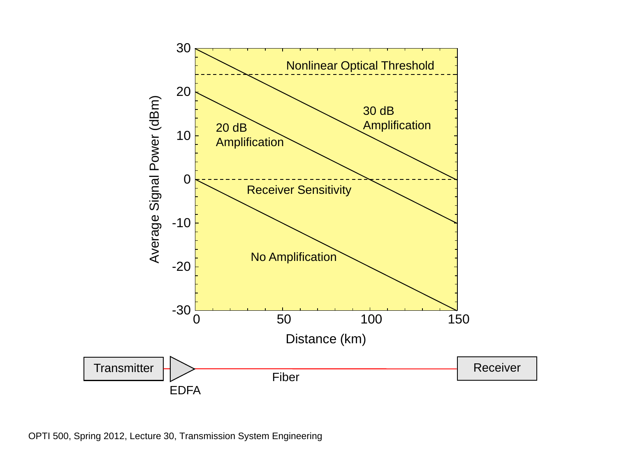